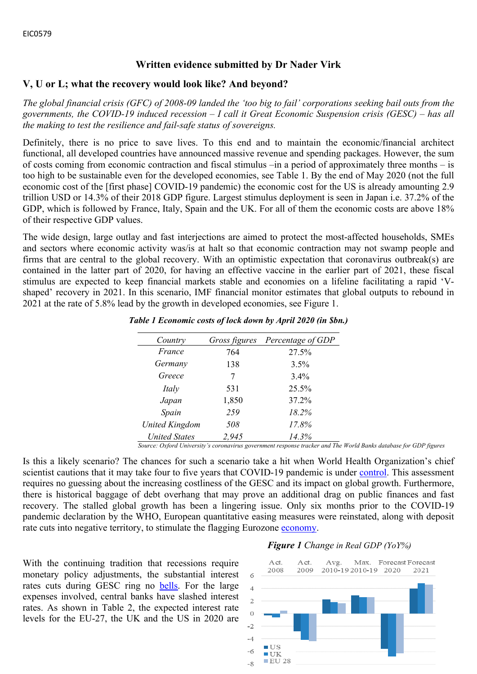# **Written evidence submitted by Dr Nader Virk**

## **V, U or L; what the recovery would look like? And beyond?**

The global financial crisis (GFC) of 2008-09 landed the 'too big to fail' corporations seeking bail outs from the *governments, the COVID-19 induced recession – I call it Great Economic Suspension crisis (GESC) – has all the making to test the resilience and fail-safe status of sovereigns.*

Definitely, there is no price to save lives. To this end and to maintain the economic/financial architect functional, all developed countries have announced massive revenue and spending packages. However, the sum of costs coming from economic contraction and fiscal stimulus –in a period of approximately three months – is too high to be sustainable even for the developed economies, see Table 1. By the end of May 2020 (not the full economic cost of the [first phase] COVID-19 pandemic) the economic cost for the US is already amounting 2.9 trillion USD or 14.3% of their 2018 GDP figure. Largest stimulus deployment is seen in Japan i.e. 37.2% of the GDP, which is followed by France, Italy, Spain and the UK. For all of them the economic costs are above 18% of their respective GDP values.

The wide design, large outlay and fast interjections are aimed to protect the most-affected households, SMEs and sectors where economic activity was/is at halt so that economic contraction may not swamp people and firms that are central to the global recovery. With an optimistic expectation that coronavirus outbreak(s) are contained in the latter part of 2020, for having an effective vaccine in the earlier part of 2021, these fiscal stimulus are expected to keep financial markets stable and economies on a lifeline facilitating a rapid 'Vshaped' recovery in 2021. In this scenario, IMF financial monitor estimates that global outputs to rebound in 2021 at the rate of 5.8% lead by the growth in developed economies, see Figure 1.

| Country               | Gross figures | Percentage of GDP |
|-----------------------|---------------|-------------------|
| France                | 764           | 27.5%             |
| Germany               | 138           | 3.5%              |
| Greece                | 7             | 3.4%              |
| Italy                 | 531           | 25.5%             |
| Japan                 | 1,850         | 37.2%             |
| Spain                 | 259           | 18.2%             |
| <b>United Kingdom</b> | 508           | 17.8%             |
| <b>United States</b>  | 2,945         | 14.3%             |

#### *Table 1 Economic costs of lock down by April 2020 (in \$bn.)*

*Source: Oxford University's coronavirus government response tracker and The World Banks database for GDP figures*

Is this a likely scenario? The chances for such a scenario take a hit when World Health Organization's chief scientist cautions that it may take four to five years that COVID-19 pandemic is under [control.](https://www.ft.com/content/69c75de6-9c6b-4bca-b110-2a55296b0875) This assessment requires no guessing about the increasing costliness of the GESC and its impact on global growth. Furthermore, there is historical baggage of debt overhang that may prove an additional drag on public finances and fast recovery. The stalled global growth has been a lingering issue. Only six months prior to the COVID-19 pandemic declaration by the WHO, European quantitative easing measures were reinstated, along with deposit rate cuts into negative territory, to stimulate the flagging Eurozone [economy](https://www.ft.com/content/9b2c29c0-d53d-11e9-a0bd-ab8ec6435630).

With the continuing tradition that recessions require monetary policy adjustments, the substantial interest rates cuts during GESC ring no [bells.](https://www.ft.com/content/a9a28bc0-66fb-11ea-a3c9-1fe6fedcca75) For the large expenses involved, central banks have slashed interest rates. As shown in Table 2, the expected interest rate levels for the EU-27, the UK and the US in 2020 are

#### *Figure 1 Change in Real GDP (YoY%)*

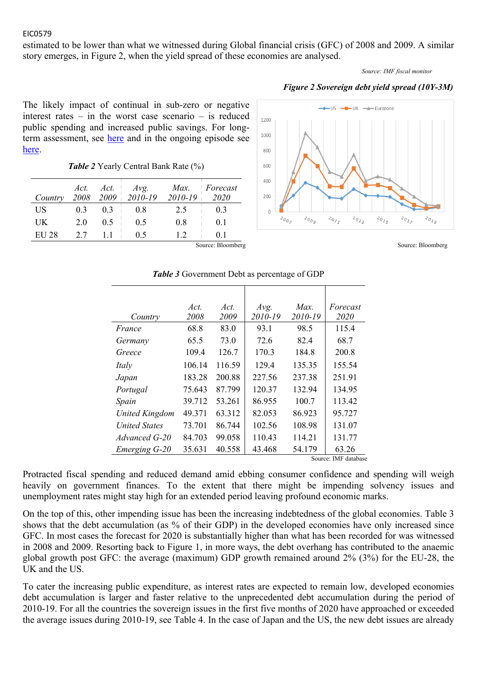estimated to be lower than what we witnessed during Global financial crisis (GFC) of 2008 and 2009. A similar story emerges, in Figure 2, when the yield spread of these economies are analysed.

*Source: IMF fiscal monitor*



The likely impact of continual in sub-zero or negative interest rates – in the worst case scenario – is reduced public spending and increased public savings. For longterm assessment, see [here](https://www.ft.com/content/478fe908-5168-11ea-8841-482eed0038b1) and in the ongoing episode see [here.](https://www.ft.com/content/ccccaed4-d82c-4856-963d-5197878fdd0d)

*Table 2* Yearly Central Bank Rate (%)

| Country | 2008 | Act. $Act.$ | $\begin{array}{cc} Act. & Avg. \ 2009 & 2010-19 \end{array}$ | $2010 - 19$ | Max. Forecast<br>2020 |
|---------|------|-------------|--------------------------------------------------------------|-------------|-----------------------|
| US      | 03   | 03          | 08                                                           | 2.5         | 0 <sub>3</sub>        |
| UK      | 20   | 0.5         | 0.5                                                          | 08          | 01                    |
| EU 28   | 27   |             | 05                                                           |             |                       |



Source: Bloomberg Source: Bloomberg Source: Bloomberg Source: Bloomberg Source: Bloomberg

|                       | Act.   | Act.   | Avg.    | Max.    | Forecast    |
|-----------------------|--------|--------|---------|---------|-------------|
| Country               | 2008   | 2009   | 2010-19 | 2010-19 | <i>2020</i> |
| France                | 68.8   | 83.0   | 93.1    | 98.5    | 115.4       |
| Germany               | 65.5   | 73.0   | 72.6    | 82.4    | 68.7        |
| Greece                | 109.4  | 126.7  | 170.3   | 184.8   | 200.8       |
| Italy                 | 106.14 | 116.59 | 129.4   | 135.35  | 155.54      |
| Japan                 | 183.28 | 200.88 | 227.56  | 237.38  | 251.91      |
| Portugal              | 75.643 | 87.799 | 120.37  | 132.94  | 134.95      |
| Spain                 | 39.712 | 53.261 | 86.955  | 100.7   | 113.42      |
| <b>United Kingdom</b> | 49.371 | 63.312 | 82.053  | 86.923  | 95.727      |
| <b>United States</b>  | 73.701 | 86.744 | 102.56  | 108.98  | 131.07      |
| Advanced G-20         | 84.703 | 99.058 | 110.43  | 114.21  | 131.77      |
| Emerging G-20         | 35.631 | 40.558 | 43.468  | 54.179  | 63.26       |

#### *Table 3* Government Debt as percentage of GDP

Source: IMF database

Protracted fiscal spending and reduced demand amid ebbing consumer confidence and spending will weigh heavily on government finances. To the extent that there might be impending solvency issues and unemployment rates might stay high for an extended period leaving profound economic marks.

On the top of this, other impending issue has been the increasing indebtedness of the global economies. Table 3 shows that the debt accumulation (as % of their GDP) in the developed economies have only increased since GFC. In most cases the forecast for 2020 is substantially higher than what has been recorded for was witnessed in 2008 and 2009. Resorting back to Figure 1, in more ways, the debt overhang has contributed to the anaemic global growth post GFC: the average (maximum) GDP growth remained around 2% (3%) for the EU-28, the UK and the US.

To cater the increasing public expenditure, as interest rates are expected to remain low, developed economies debt accumulation is larger and faster relative to the unprecedented debt accumulation during the period of 2010-19. For all the countries the sovereign issues in the first five months of 2020 have approached or exceeded the average issues during 2010-19, see Table 4. In the case of Japan and the US, the new debt issues are already